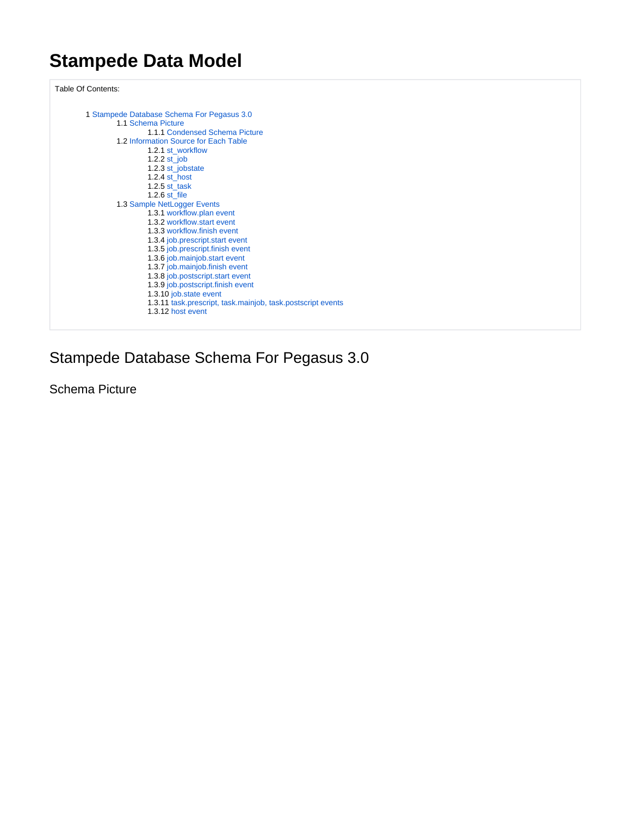# **Stampede Data Model**

Table Of Contents:

```
1 Stampede Database Schema For Pegasus 3.0
1.1 Schema Picture
         1.1.1 Condensed Schema Picture
1.2 Information Source for Each Table
        1.2.1 st_workflow
         1.2.2 st_job
         1.2.3 st_jobstate
         1.2.4 st_host
         1.2.5 st_task
         1.2.6 st_file
1.3 Sample NetLogger Events
         workflow.plan event
         1.3.2 workflow.start event
         1.3.3 workflow.finish event
         1.3.4 job.prescript.start event
         1.3.5 job.prescript.finish event
         1.3.6 job.mainjob.start event
          1.3.7 job.mainjob.finish event
          1.3.8 job.postscript.start event
         1.3.9 job.postscript.finish event
         1.3.10 job.state event
         1.3.11 task.prescript, task.mainjob, task.postscript events
         1.3.12 host event
```
# <span id="page-0-0"></span>Stampede Database Schema For Pegasus 3.0

<span id="page-0-1"></span>Schema Picture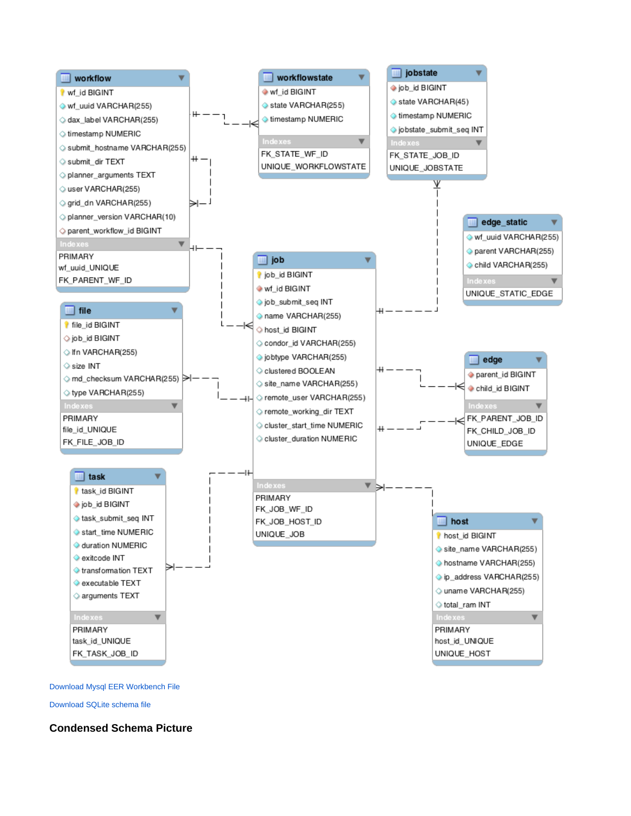

[Download Mysql EER Workbench File](https://confluence.pegasus.isi.edu/download/attachments/4456566/stampede-schema-oct-18-2010.mwb?version=1&modificationDate=1287410012000&api=v2)

[Download SQLite schema file](https://confluence.pegasus.isi.edu/download/attachments/4456566/stampede.sqlite-oct-18-2010.sql?version=1&modificationDate=1287409972000&api=v2)

<span id="page-1-0"></span>**Condensed Schema Picture**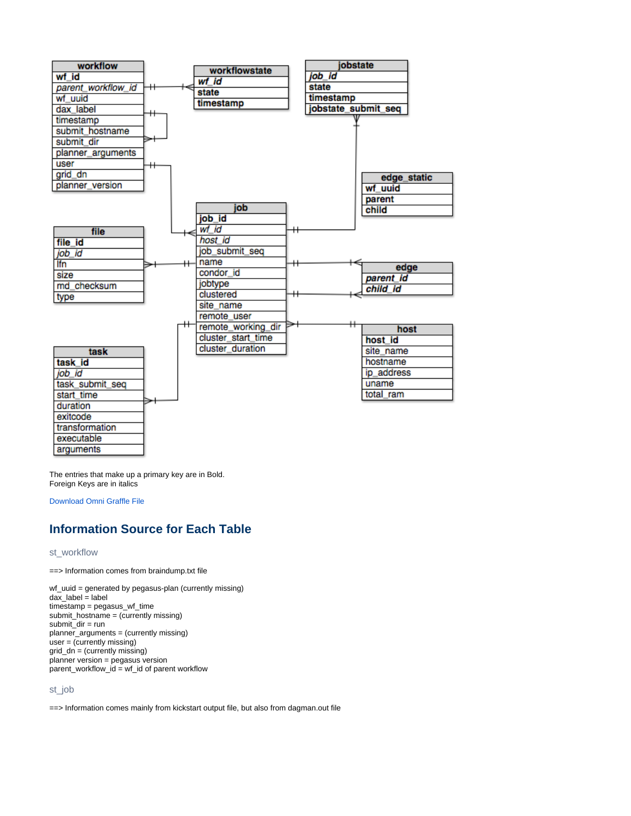

The entries that make up a primary key are in Bold. Foreign Keys are in italics

[Download Omni Graffle File](https://confluence.pegasus.isi.edu/download/attachments/4456566/stampede-schema-condensed-oct-18-2010.graffle?version=1&modificationDate=1296147965000&api=v2)

# <span id="page-2-0"></span>**Information Source for Each Table**

# <span id="page-2-1"></span>st\_workflow

==> Information comes from braindump.txt file

wf\_uuid = generated by pegasus-plan (currently missing) dax\_label = label timestamp = pegasus\_wf\_time submit\_hostname = (currently missing) submit\_dir = run planner\_arguments = (currently missing)  $user = (currently missing)$ grid\_dn = (currently missing) planner version = pegasus version parent\_workflow\_id = wf\_id of parent workflow

# <span id="page-2-2"></span>st\_job

==> Information comes mainly from kickstart output file, but also from dagman.out file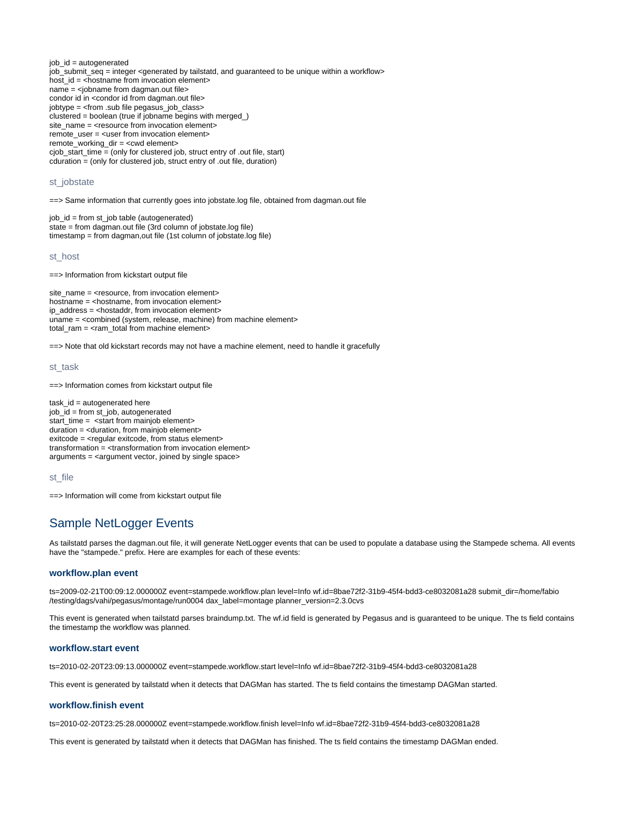job\_id = autogenerated job\_submit\_seq = integer <generated by tailstatd, and guaranteed to be unique within a workflow> host\_id = <hostname from invocation element> name = <jobname from dagman.out file> condor id in <condor id from dagman.out file> jobtype = <from .sub file pegasus\_job\_class> clustered = boolean (true if jobname begins with merged\_) site\_name = <resource from invocation element> remote\_user = <user from invocation element> remote\_working\_dir = <cwd element> cjob\_start\_time = (only for clustered job, struct entry of .out file, start) cduration = (only for clustered job, struct entry of .out file, duration)

# <span id="page-3-0"></span>st\_jobstate

==> Same information that currently goes into jobstate.log file, obtained from dagman.out file

job\_id = from st\_job table (autogenerated) state = from dagman.out file (3rd column of jobstate.log file) timestamp = from dagman,out file (1st column of jobstate.log file)

#### <span id="page-3-1"></span>st\_host

==> Information from kickstart output file

site\_name = <resource, from invocation element> hostname = <hostname, from invocation element> ip address = <hostaddr, from invocation element> uname = <combined (system, release, machine) from machine element> total\_ram = <ram\_total from machine element>

==> Note that old kickstart records may not have a machine element, need to handle it gracefully

#### <span id="page-3-2"></span>st\_task

==> Information comes from kickstart output file

task  $id = autoqenerate$  here job\_id = from st\_job, autogenerated start\_time = <start from mainjob element> duration = <duration, from mainjob element> exitcode = <regular exitcode, from status element> transformation = <transformation from invocation element> arguments = <argument vector, joined by single space>

### <span id="page-3-3"></span>st\_file

==> Information will come from kickstart output file

# <span id="page-3-4"></span>Sample NetLogger Events

As tailstatd parses the dagman.out file, it will generate NetLogger events that can be used to populate a database using the Stampede schema. All events have the "stampede." prefix. Here are examples for each of these events:

#### <span id="page-3-5"></span>**workflow.plan event**

ts=2009-02-21T00:09:12.000000Z event=stampede.workflow.plan level=Info wf.id=8bae72f2-31b9-45f4-bdd3-ce8032081a28 submit\_dir=/home/fabio /testing/dags/vahi/pegasus/montage/run0004 dax\_label=montage planner\_version=2.3.0cvs

This event is generated when tailstatd parses braindump.txt. The wf.id field is generated by Pegasus and is guaranteed to be unique. The ts field contains the timestamp the workflow was planned.

#### <span id="page-3-6"></span>**workflow.start event**

ts=2010-02-20T23:09:13.000000Z event=stampede.workflow.start level=Info wf.id=8bae72f2-31b9-45f4-bdd3-ce8032081a28

This event is generated by tailstatd when it detects that DAGMan has started. The ts field contains the timestamp DAGMan started.

# <span id="page-3-7"></span>**workflow.finish event**

ts=2010-02-20T23:25:28.000000Z event=stampede.workflow.finish level=Info wf.id=8bae72f2-31b9-45f4-bdd3-ce8032081a28

<span id="page-3-8"></span>This event is generated by tailstatd when it detects that DAGMan has finished. The ts field contains the timestamp DAGMan ended.